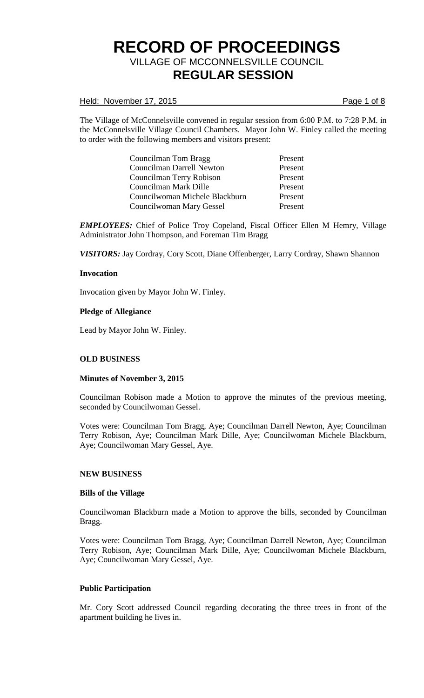### Held: November 17, 2015 **Page 1** of 8

The Village of McConnelsville convened in regular session from 6:00 P.M. to 7:28 P.M. in the McConnelsville Village Council Chambers. Mayor John W. Finley called the meeting to order with the following members and visitors present:

| Councilman Tom Bragg             | Present |
|----------------------------------|---------|
| <b>Councilman Darrell Newton</b> | Present |
| Councilman Terry Robison         | Present |
| Councilman Mark Dille            | Present |
| Councilwoman Michele Blackburn   | Present |
| Councilwoman Mary Gessel         | Present |

*EMPLOYEES:* Chief of Police Troy Copeland, Fiscal Officer Ellen M Hemry, Village Administrator John Thompson, and Foreman Tim Bragg

*VISITORS:* Jay Cordray, Cory Scott, Diane Offenberger, Larry Cordray, Shawn Shannon

#### **Invocation**

Invocation given by Mayor John W. Finley.

#### **Pledge of Allegiance**

Lead by Mayor John W. Finley.

## **OLD BUSINESS**

#### **Minutes of November 3, 2015**

Councilman Robison made a Motion to approve the minutes of the previous meeting, seconded by Councilwoman Gessel.

Votes were: Councilman Tom Bragg, Aye; Councilman Darrell Newton, Aye; Councilman Terry Robison, Aye; Councilman Mark Dille, Aye; Councilwoman Michele Blackburn, Aye; Councilwoman Mary Gessel, Aye.

#### **NEW BUSINESS**

#### **Bills of the Village**

Councilwoman Blackburn made a Motion to approve the bills, seconded by Councilman Bragg.

Votes were: Councilman Tom Bragg, Aye; Councilman Darrell Newton, Aye; Councilman Terry Robison, Aye; Councilman Mark Dille, Aye; Councilwoman Michele Blackburn, Aye; Councilwoman Mary Gessel, Aye.

#### **Public Participation**

Mr. Cory Scott addressed Council regarding decorating the three trees in front of the apartment building he lives in.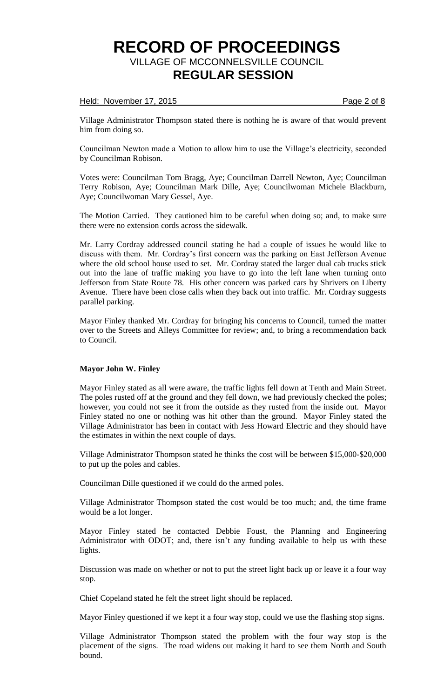### Held: November 17, 2015 **Page 2 of 8**

Village Administrator Thompson stated there is nothing he is aware of that would prevent him from doing so.

Councilman Newton made a Motion to allow him to use the Village's electricity, seconded by Councilman Robison.

Votes were: Councilman Tom Bragg, Aye; Councilman Darrell Newton, Aye; Councilman Terry Robison, Aye; Councilman Mark Dille, Aye; Councilwoman Michele Blackburn, Aye; Councilwoman Mary Gessel, Aye.

The Motion Carried. They cautioned him to be careful when doing so; and, to make sure there were no extension cords across the sidewalk.

Mr. Larry Cordray addressed council stating he had a couple of issues he would like to discuss with them. Mr. Cordray's first concern was the parking on East Jefferson Avenue where the old school house used to set. Mr. Cordray stated the larger dual cab trucks stick out into the lane of traffic making you have to go into the left lane when turning onto Jefferson from State Route 78. His other concern was parked cars by Shrivers on Liberty Avenue. There have been close calls when they back out into traffic. Mr. Cordray suggests parallel parking.

Mayor Finley thanked Mr. Cordray for bringing his concerns to Council, turned the matter over to the Streets and Alleys Committee for review; and, to bring a recommendation back to Council.

## **Mayor John W. Finley**

Mayor Finley stated as all were aware, the traffic lights fell down at Tenth and Main Street. The poles rusted off at the ground and they fell down, we had previously checked the poles; however, you could not see it from the outside as they rusted from the inside out. Mayor Finley stated no one or nothing was hit other than the ground. Mayor Finley stated the Village Administrator has been in contact with Jess Howard Electric and they should have the estimates in within the next couple of days.

Village Administrator Thompson stated he thinks the cost will be between \$15,000-\$20,000 to put up the poles and cables.

Councilman Dille questioned if we could do the armed poles.

Village Administrator Thompson stated the cost would be too much; and, the time frame would be a lot longer.

Mayor Finley stated he contacted Debbie Foust, the Planning and Engineering Administrator with ODOT; and, there isn't any funding available to help us with these lights.

Discussion was made on whether or not to put the street light back up or leave it a four way stop.

Chief Copeland stated he felt the street light should be replaced.

Mayor Finley questioned if we kept it a four way stop, could we use the flashing stop signs.

Village Administrator Thompson stated the problem with the four way stop is the placement of the signs. The road widens out making it hard to see them North and South bound.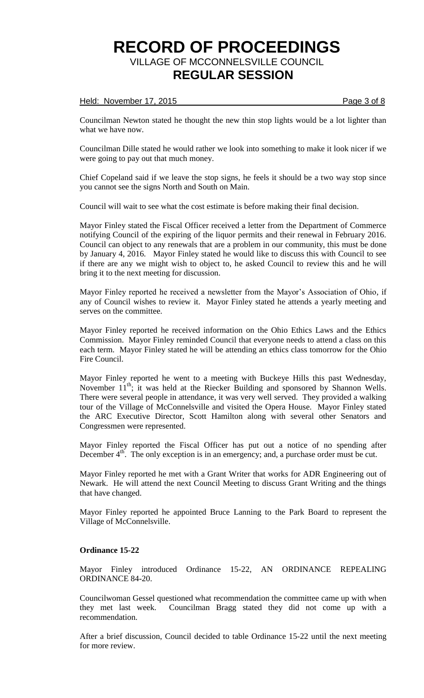#### Held: November 17, 2015 **Page 3 of 8**

Councilman Newton stated he thought the new thin stop lights would be a lot lighter than what we have now.

Councilman Dille stated he would rather we look into something to make it look nicer if we were going to pay out that much money.

Chief Copeland said if we leave the stop signs, he feels it should be a two way stop since you cannot see the signs North and South on Main.

Council will wait to see what the cost estimate is before making their final decision.

Mayor Finley stated the Fiscal Officer received a letter from the Department of Commerce notifying Council of the expiring of the liquor permits and their renewal in February 2016. Council can object to any renewals that are a problem in our community, this must be done by January 4, 2016. Mayor Finley stated he would like to discuss this with Council to see if there are any we might wish to object to, he asked Council to review this and he will bring it to the next meeting for discussion.

Mayor Finley reported he received a newsletter from the Mayor's Association of Ohio, if any of Council wishes to review it. Mayor Finley stated he attends a yearly meeting and serves on the committee.

Mayor Finley reported he received information on the Ohio Ethics Laws and the Ethics Commission. Mayor Finley reminded Council that everyone needs to attend a class on this each term. Mayor Finley stated he will be attending an ethics class tomorrow for the Ohio Fire Council.

Mayor Finley reported he went to a meeting with Buckeye Hills this past Wednesday, November  $11^{th}$ ; it was held at the Riecker Building and sponsored by Shannon Wells. There were several people in attendance, it was very well served. They provided a walking tour of the Village of McConnelsville and visited the Opera House. Mayor Finley stated the ARC Executive Director, Scott Hamilton along with several other Senators and Congressmen were represented.

Mayor Finley reported the Fiscal Officer has put out a notice of no spending after December 4<sup>th</sup>. The only exception is in an emergency; and, a purchase order must be cut.

Mayor Finley reported he met with a Grant Writer that works for ADR Engineering out of Newark. He will attend the next Council Meeting to discuss Grant Writing and the things that have changed.

Mayor Finley reported he appointed Bruce Lanning to the Park Board to represent the Village of McConnelsville.

## **Ordinance 15-22**

Mayor Finley introduced Ordinance 15-22, AN ORDINANCE REPEALING ORDINANCE 84-20.

Councilwoman Gessel questioned what recommendation the committee came up with when they met last week. Councilman Bragg stated they did not come up with a recommendation.

After a brief discussion, Council decided to table Ordinance 15-22 until the next meeting for more review.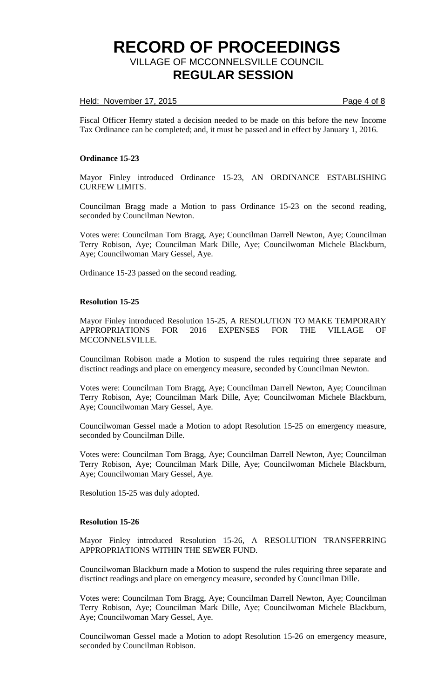### Held: November 17, 2015 **Page 4 of 8**

Fiscal Officer Hemry stated a decision needed to be made on this before the new Income Tax Ordinance can be completed; and, it must be passed and in effect by January 1, 2016.

### **Ordinance 15-23**

Mayor Finley introduced Ordinance 15-23, AN ORDINANCE ESTABLISHING CURFEW LIMITS.

Councilman Bragg made a Motion to pass Ordinance 15-23 on the second reading, seconded by Councilman Newton.

Votes were: Councilman Tom Bragg, Aye; Councilman Darrell Newton, Aye; Councilman Terry Robison, Aye; Councilman Mark Dille, Aye; Councilwoman Michele Blackburn, Aye; Councilwoman Mary Gessel, Aye.

Ordinance 15-23 passed on the second reading.

#### **Resolution 15-25**

Mayor Finley introduced Resolution 15-25, A RESOLUTION TO MAKE TEMPORARY APPROPRIATIONS FOR 2016 EXPENSES FOR THE VILLAGE OF MCCONNELSVILLE.

Councilman Robison made a Motion to suspend the rules requiring three separate and disctinct readings and place on emergency measure, seconded by Councilman Newton.

Votes were: Councilman Tom Bragg, Aye; Councilman Darrell Newton, Aye; Councilman Terry Robison, Aye; Councilman Mark Dille, Aye; Councilwoman Michele Blackburn, Aye; Councilwoman Mary Gessel, Aye.

Councilwoman Gessel made a Motion to adopt Resolution 15-25 on emergency measure, seconded by Councilman Dille.

Votes were: Councilman Tom Bragg, Aye; Councilman Darrell Newton, Aye; Councilman Terry Robison, Aye; Councilman Mark Dille, Aye; Councilwoman Michele Blackburn, Aye; Councilwoman Mary Gessel, Aye.

Resolution 15-25 was duly adopted.

#### **Resolution 15-26**

Mayor Finley introduced Resolution 15-26, A RESOLUTION TRANSFERRING APPROPRIATIONS WITHIN THE SEWER FUND.

Councilwoman Blackburn made a Motion to suspend the rules requiring three separate and disctinct readings and place on emergency measure, seconded by Councilman Dille.

Votes were: Councilman Tom Bragg, Aye; Councilman Darrell Newton, Aye; Councilman Terry Robison, Aye; Councilman Mark Dille, Aye; Councilwoman Michele Blackburn, Aye; Councilwoman Mary Gessel, Aye.

Councilwoman Gessel made a Motion to adopt Resolution 15-26 on emergency measure, seconded by Councilman Robison.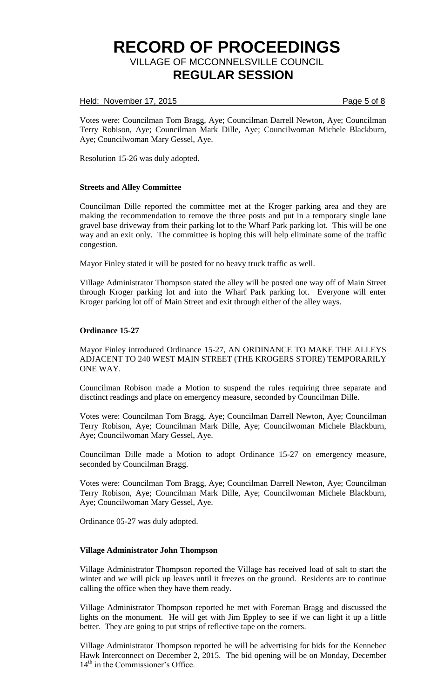### Held: November 17, 2015 **Page 5 of 8**

Votes were: Councilman Tom Bragg, Aye; Councilman Darrell Newton, Aye; Councilman Terry Robison, Aye; Councilman Mark Dille, Aye; Councilwoman Michele Blackburn, Aye; Councilwoman Mary Gessel, Aye.

Resolution 15-26 was duly adopted.

#### **Streets and Alley Committee**

Councilman Dille reported the committee met at the Kroger parking area and they are making the recommendation to remove the three posts and put in a temporary single lane gravel base driveway from their parking lot to the Wharf Park parking lot. This will be one way and an exit only. The committee is hoping this will help eliminate some of the traffic congestion.

Mayor Finley stated it will be posted for no heavy truck traffic as well.

Village Administrator Thompson stated the alley will be posted one way off of Main Street through Kroger parking lot and into the Wharf Park parking lot. Everyone will enter Kroger parking lot off of Main Street and exit through either of the alley ways.

#### **Ordinance 15-27**

Mayor Finley introduced Ordinance 15-27, AN ORDINANCE TO MAKE THE ALLEYS ADJACENT TO 240 WEST MAIN STREET (THE KROGERS STORE) TEMPORARILY ONE WAY.

Councilman Robison made a Motion to suspend the rules requiring three separate and disctinct readings and place on emergency measure, seconded by Councilman Dille.

Votes were: Councilman Tom Bragg, Aye; Councilman Darrell Newton, Aye; Councilman Terry Robison, Aye; Councilman Mark Dille, Aye; Councilwoman Michele Blackburn, Aye; Councilwoman Mary Gessel, Aye.

Councilman Dille made a Motion to adopt Ordinance 15-27 on emergency measure, seconded by Councilman Bragg.

Votes were: Councilman Tom Bragg, Aye; Councilman Darrell Newton, Aye; Councilman Terry Robison, Aye; Councilman Mark Dille, Aye; Councilwoman Michele Blackburn, Aye; Councilwoman Mary Gessel, Aye.

Ordinance 05-27 was duly adopted.

## **Village Administrator John Thompson**

Village Administrator Thompson reported the Village has received load of salt to start the winter and we will pick up leaves until it freezes on the ground. Residents are to continue calling the office when they have them ready.

Village Administrator Thompson reported he met with Foreman Bragg and discussed the lights on the monument. He will get with Jim Eppley to see if we can light it up a little better. They are going to put strips of reflective tape on the corners.

Village Administrator Thompson reported he will be advertising for bids for the Kennebec Hawk Interconnect on December 2, 2015. The bid opening will be on Monday, December 14<sup>th</sup> in the Commissioner's Office.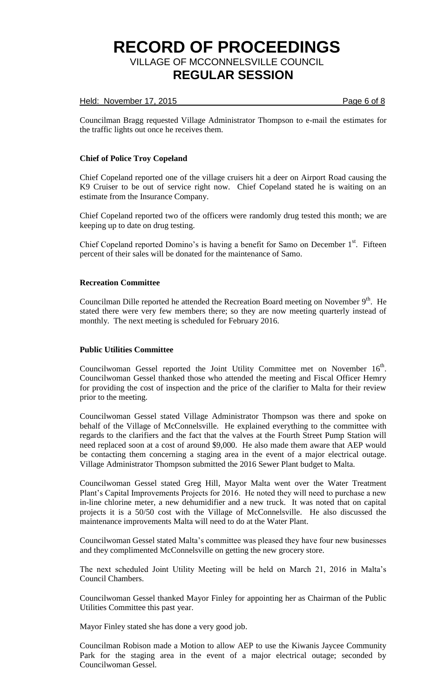### Held: November 17, 2015 **Page 6 of 8**

Councilman Bragg requested Village Administrator Thompson to e-mail the estimates for the traffic lights out once he receives them.

## **Chief of Police Troy Copeland**

Chief Copeland reported one of the village cruisers hit a deer on Airport Road causing the K9 Cruiser to be out of service right now. Chief Copeland stated he is waiting on an estimate from the Insurance Company.

Chief Copeland reported two of the officers were randomly drug tested this month; we are keeping up to date on drug testing.

Chief Copeland reported Domino's is having a benefit for Samo on December  $1<sup>st</sup>$ . Fifteen percent of their sales will be donated for the maintenance of Samo.

### **Recreation Committee**

Councilman Dille reported he attended the Recreation Board meeting on November 9<sup>th</sup>. He stated there were very few members there; so they are now meeting quarterly instead of monthly. The next meeting is scheduled for February 2016.

#### **Public Utilities Committee**

Councilwoman Gessel reported the Joint Utility Committee met on November 16<sup>th</sup>. Councilwoman Gessel thanked those who attended the meeting and Fiscal Officer Hemry for providing the cost of inspection and the price of the clarifier to Malta for their review prior to the meeting.

Councilwoman Gessel stated Village Administrator Thompson was there and spoke on behalf of the Village of McConnelsville. He explained everything to the committee with regards to the clarifiers and the fact that the valves at the Fourth Street Pump Station will need replaced soon at a cost of around \$9,000. He also made them aware that AEP would be contacting them concerning a staging area in the event of a major electrical outage. Village Administrator Thompson submitted the 2016 Sewer Plant budget to Malta.

Councilwoman Gessel stated Greg Hill, Mayor Malta went over the Water Treatment Plant's Capital Improvements Projects for 2016. He noted they will need to purchase a new in-line chlorine meter, a new dehumidifier and a new truck. It was noted that on capital projects it is a 50/50 cost with the Village of McConnelsville. He also discussed the maintenance improvements Malta will need to do at the Water Plant.

Councilwoman Gessel stated Malta's committee was pleased they have four new businesses and they complimented McConnelsville on getting the new grocery store.

The next scheduled Joint Utility Meeting will be held on March 21, 2016 in Malta's Council Chambers.

Councilwoman Gessel thanked Mayor Finley for appointing her as Chairman of the Public Utilities Committee this past year.

Mayor Finley stated she has done a very good job.

Councilman Robison made a Motion to allow AEP to use the Kiwanis Jaycee Community Park for the staging area in the event of a major electrical outage; seconded by Councilwoman Gessel.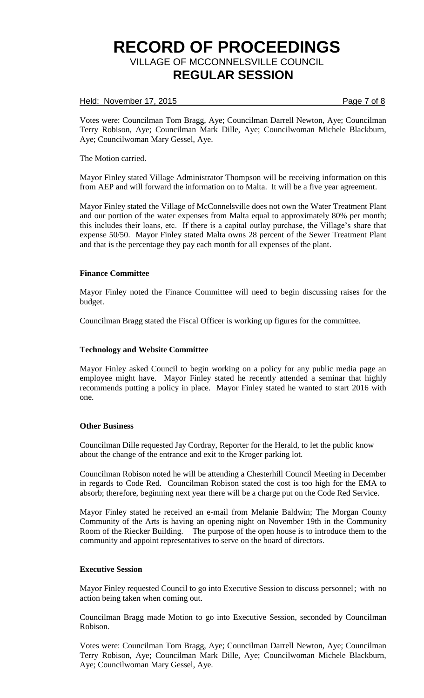### Held: November 17, 2015 **Page 7 of 8**

Votes were: Councilman Tom Bragg, Aye; Councilman Darrell Newton, Aye; Councilman Terry Robison, Aye; Councilman Mark Dille, Aye; Councilwoman Michele Blackburn, Aye; Councilwoman Mary Gessel, Aye.

#### The Motion carried.

Mayor Finley stated Village Administrator Thompson will be receiving information on this from AEP and will forward the information on to Malta. It will be a five year agreement.

Mayor Finley stated the Village of McConnelsville does not own the Water Treatment Plant and our portion of the water expenses from Malta equal to approximately 80% per month; this includes their loans, etc. If there is a capital outlay purchase, the Village's share that expense 50/50. Mayor Finley stated Malta owns 28 percent of the Sewer Treatment Plant and that is the percentage they pay each month for all expenses of the plant.

## **Finance Committee**

Mayor Finley noted the Finance Committee will need to begin discussing raises for the budget.

Councilman Bragg stated the Fiscal Officer is working up figures for the committee.

#### **Technology and Website Committee**

Mayor Finley asked Council to begin working on a policy for any public media page an employee might have. Mayor Finley stated he recently attended a seminar that highly recommends putting a policy in place. Mayor Finley stated he wanted to start 2016 with one.

#### **Other Business**

Councilman Dille requested Jay Cordray, Reporter for the Herald, to let the public know about the change of the entrance and exit to the Kroger parking lot.

Councilman Robison noted he will be attending a Chesterhill Council Meeting in December in regards to Code Red. Councilman Robison stated the cost is too high for the EMA to absorb; therefore, beginning next year there will be a charge put on the Code Red Service.

Mayor Finley stated he received an e-mail from Melanie Baldwin; The Morgan County Community of the Arts is having an opening night on November 19th in the Community Room of the Riecker Building. The purpose of the open house is to introduce them to the community and appoint representatives to serve on the board of directors.

#### **Executive Session**

Mayor Finley requested Council to go into Executive Session to discuss personnel; with no action being taken when coming out.

Councilman Bragg made Motion to go into Executive Session, seconded by Councilman Robison.

Votes were: Councilman Tom Bragg, Aye; Councilman Darrell Newton, Aye; Councilman Terry Robison, Aye; Councilman Mark Dille, Aye; Councilwoman Michele Blackburn, Aye; Councilwoman Mary Gessel, Aye.